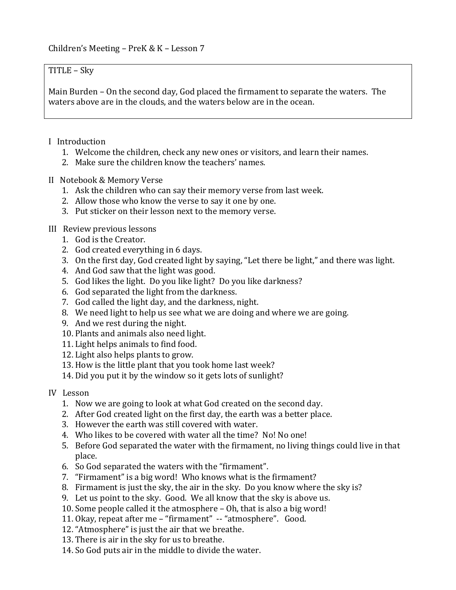### $TITLE - Sky$

Main Burden  $-$  On the second day, God placed the firmament to separate the waters. The waters above are in the clouds, and the waters below are in the ocean.

# I Introduction

- 1. Welcome the children, check any new ones or visitors, and learn their names.
- 2. Make sure the children know the teachers' names.

# II Notebook & Memory Verse

- 1. Ask the children who can say their memory verse from last week.
- 2. Allow those who know the verse to say it one by one.
- 3. Put sticker on their lesson next to the memory verse.

# III Review previous lessons

- 1. God is the Creator.
- 2. God created everything in 6 days.
- 3. On the first day, God created light by saying, "Let there be light," and there was light.
- 4. And God saw that the light was good.
- 5. God likes the light. Do you like light? Do you like darkness?
- 6. God separated the light from the darkness.
- 7. God called the light day, and the darkness, night.
- 8. We need light to help us see what we are doing and where we are going.
- 9. And we rest during the night.
- 10. Plants and animals also need light.
- 11. Light helps animals to find food.
- 12. Light also helps plants to grow.
- 13. How is the little plant that you took home last week?
- 14. Did you put it by the window so it gets lots of sunlight?
- IV Lesson
	- 1. Now we are going to look at what God created on the second day.
	- 2. After God created light on the first day, the earth was a better place.
	- 3. However the earth was still covered with water.
	- 4. Who likes to be covered with water all the time? No! No one!
	- 5. Before God separated the water with the firmament, no living things could live in that place.
	- 6. So God separated the waters with the "firmament".
	- 7. "Firmament" is a big word! Who knows what is the firmament?
	- 8. Firmament is just the sky, the air in the sky. Do you know where the sky is?
	- 9. Let us point to the sky. Good. We all know that the sky is above us.
	- 10. Some people called it the atmosphere Oh, that is also a big word!
	- 11. Okay, repeat after me "firmament" -- "atmosphere". Good.
	- 12. "Atmosphere" is just the air that we breathe.
	- 13. There is air in the sky for us to breathe.
	- 14. So God puts air in the middle to divide the water.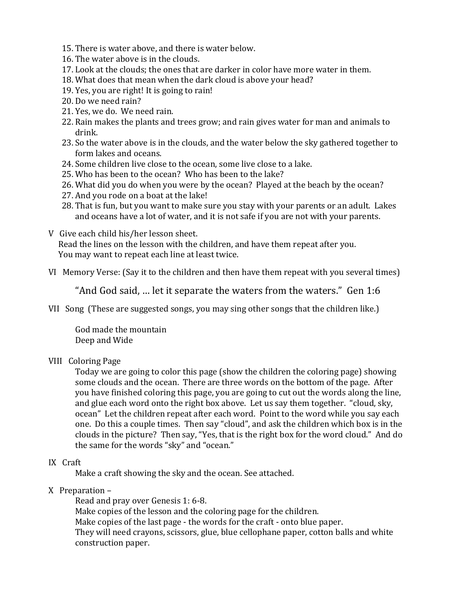- 15. There is water above, and there is water below.
- 16. The water above is in the clouds.
- 17. Look at the clouds; the ones that are darker in color have more water in them.
- 18. What does that mean when the dark cloud is above your head?
- 19. Yes, you are right! It is going to rain!
- 20. Do we need rain?
- 21. Yes, we do. We need rain.
- 22. Rain makes the plants and trees grow; and rain gives water for man and animals to drink.
- 23. So the water above is in the clouds, and the water below the sky gathered together to form lakes and oceans.
- 24. Some children live close to the ocean, some live close to a lake.
- 25. Who has been to the ocean? Who has been to the lake?
- 26. What did you do when you were by the ocean? Played at the beach by the ocean?
- 27. And you rode on a boat at the lake!
- 28. That is fun, but you want to make sure you stay with your parents or an adult. Lakes and oceans have a lot of water, and it is not safe if you are not with your parents.
- V Give each child his/her lesson sheet.

Read the lines on the lesson with the children, and have them repeat after you. You may want to repeat each line at least twice.

VI Memory Verse: (Say it to the children and then have them repeat with you several times)

"And God said, ... let it separate the waters from the waters." Gen 1:6

VII Song (These are suggested songs, you may sing other songs that the children like.)

God made the mountain Deep and Wide

### VIII Coloring Page

Today we are going to color this page (show the children the coloring page) showing some clouds and the ocean. There are three words on the bottom of the page. After you have finished coloring this page, you are going to cut out the words along the line, and glue each word onto the right box above. Let us say them together. "cloud, sky, ocean" Let the children repeat after each word. Point to the word while you say each one. Do this a couple times. Then say "cloud", and ask the children which box is in the clouds in the picture? Then say, "Yes, that is the right box for the word cloud." And do the same for the words "sky" and "ocean."

### IX Craft

Make a craft showing the sky and the ocean. See attached.

### $X$  Preparation –

Read and pray over Genesis 1: 6-8.

Make copies of the lesson and the coloring page for the children.

Make copies of the last page - the words for the craft - onto blue paper.

They will need crayons, scissors, glue, blue cellophane paper, cotton balls and white construction paper.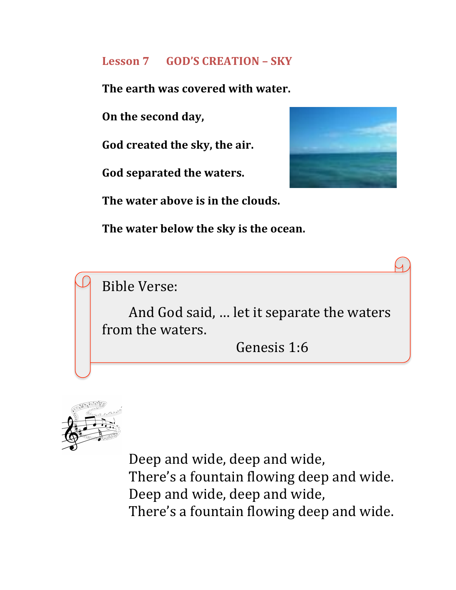# **Lesson 7 GOD'S CREATION – SKY**

**The earth was covered with water.** 

**On the second day,** 

God created the sky, the air.

God separated the waters.



The water above is in the clouds.

The water below the sky is the ocean.

Bible Verse:

And God said, ... let it separate the waters from the waters.

Genesis 1:6



Deep and wide, deep and wide, There's a fountain flowing deep and wide. Deep and wide, deep and wide, There's a fountain flowing deep and wide.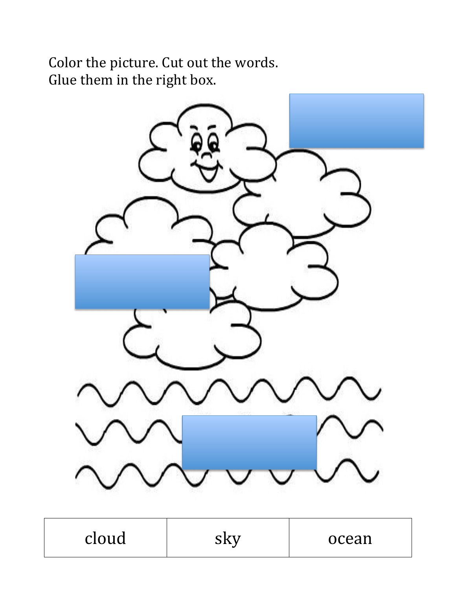Color the picture. Cut out the words. Glue them in the right box.



| cloud | SKV | ocean |
|-------|-----|-------|
|-------|-----|-------|

Г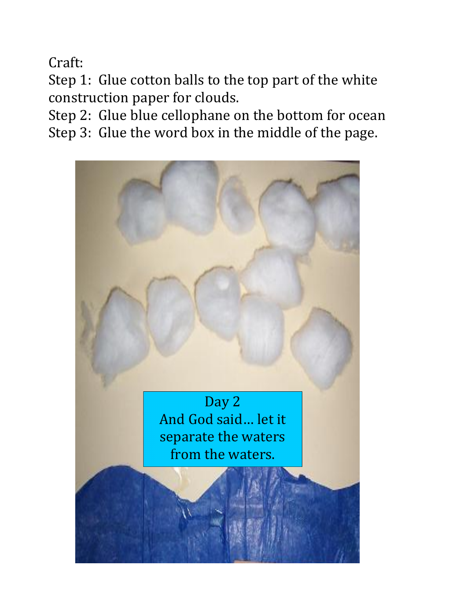Craft:

Step 1: Glue cotton balls to the top part of the white construction paper for clouds.

Step 2: Glue blue cellophane on the bottom for ocean Step 3: Glue the word box in the middle of the page.